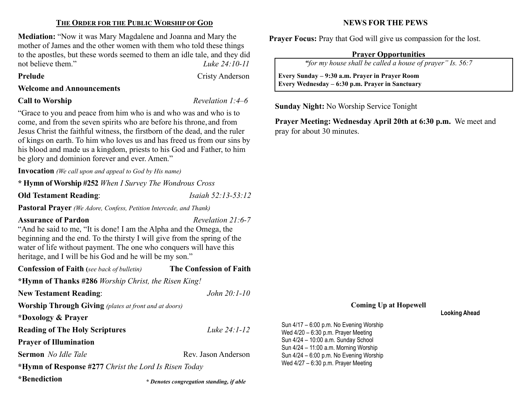# THE ORDER FOR THE PUBLIC WORSHIP OF GOD

Mediation: "Now it was Mary Magdalene and Joanna and Mary the mother of James and the other women with them who told these things to the apostles, but these words seemed to them an idle tale, and they did not believe them." Luke 24:10-11

### Prelude Cristy Anderson

Welcome and Announcements

## **Call to Worship Revelation 1:4–6**

 $\overline{\phantom{a}}$ 

"Grace to you and peace from him who is and who was and who is to come, and from the seven spirits who are before his throne, and from Jesus Christ the faithful witness, the firstborn of the dead, and the ruler of kings on earth. To him who loves us and has freed us from our sins by his blood and made us a kingdom, priests to his God and Father, to him be glory and dominion forever and ever. Amen."

Invocation (We call upon and appeal to God by His name)

\* Hymn of Worship #252 When I Survey The Wondrous Cross

Old Testament Reading: *Isaiah 52:13-53:12* 

Pastoral Prayer (We Adore, Confess, Petition Intercede, and Thank)

# Assurance of Pardon Assurance of Pardon Revelation 21:6-7

\* Denotes congregation standing, if able

"And he said to me, "It is done! I am the Alpha and the Omega, the beginning and the end. To the thirsty I will give from the spring of the water of life without payment. The one who conquers will have this heritage, and I will be his God and he will be my son."

| <b>Confession of Faith</b> (see back of bulletin)            | The Confession of Faith |  |  |  |
|--------------------------------------------------------------|-------------------------|--|--|--|
| *Hymn of Thanks #286 Worship Christ, the Risen King!         |                         |  |  |  |
| <b>New Testament Reading:</b>                                | John $20:1-10$          |  |  |  |
| <b>Worship Through Giving</b> (plates at front and at doors) |                         |  |  |  |
| *Doxology & Prayer                                           |                         |  |  |  |
| <b>Reading of The Holy Scriptures</b>                        | Luke 24:1-12            |  |  |  |
| <b>Prayer of Illumination</b>                                |                         |  |  |  |
| <b>Sermon</b> No Idle Tale                                   | Rev. Jason Anderson     |  |  |  |
| *Hymn of Response #277 Christ the Lord Is Risen Today        |                         |  |  |  |
| *Benediction                                                 |                         |  |  |  |

NEWS FOR THE PEWS

Prayer Focus: Pray that God will give us compassion for the lost.

## Prayer Opportunities

"for my house shall be called a house of prayer" Is. 56:7

 Every Sunday – 9:30 a.m. Prayer in Prayer Room Every Wednesday – 6:30 p.m. Prayer in Sanctuary

Sunday Night: No Worship Service Tonight

Prayer Meeting: Wednesday April 20th at 6:30 p.m. We meet and pray for about 30 minutes.

### Coming Up at Hopewell

Looking Ahead

Sun 4/17 – 6:00 p.m. No Evening Worship Wed 4/20 – 6:30 p.m. Prayer Meeting Sun 4/24 – 10:00 a.m. Sunday School Sun 4/24 – 11:00 a.m. Morning Worship Sun 4/24 – 6:00 p.m. No Evening Worship Wed 4/27 – 6:30 p.m. Prayer Meeting